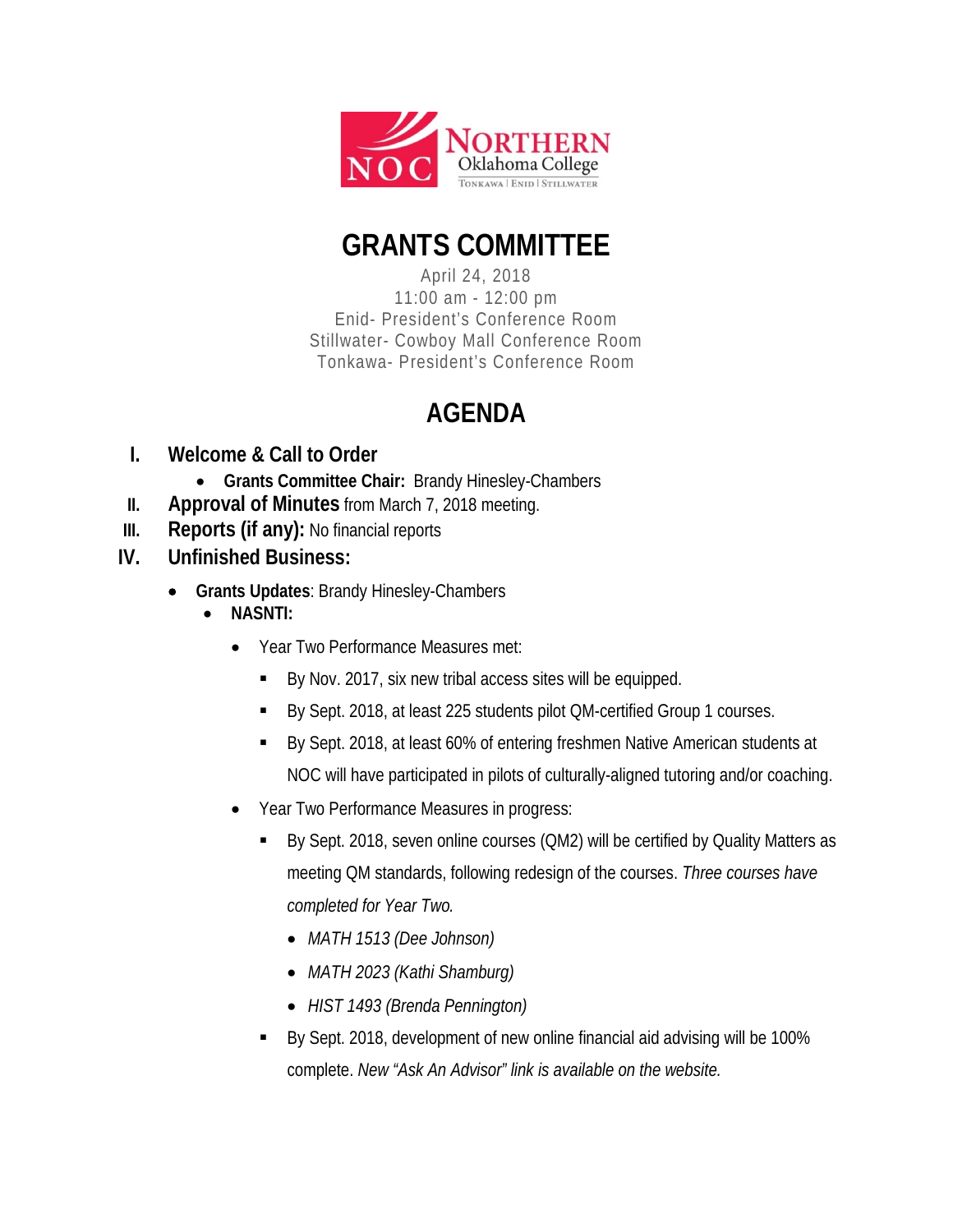

## **GRANTS COMMITTEE**

April 24, 2018 11:00 am - 12:00 pm Enid- President's Conference Room Stillwater- Cowboy Mall Conference Room Tonkawa- President's Conference Room

## **AGENDA**

- **I. Welcome & Call to Order**
	- **Grants Committee Chair:** Brandy Hinesley-Chambers
- **II. Approval of Minutes** from March 7, 2018 meeting.
- **III. Reports (if any):** No financial reports
- **IV. Unfinished Business:**
	- **Grants Updates**: Brandy Hinesley-Chambers
		- **NASNTI:**
			- Year Two Performance Measures met:
				- By Nov. 2017, six new tribal access sites will be equipped.
				- By Sept. 2018, at least 225 students pilot QM-certified Group 1 courses.
				- By Sept. 2018, at least 60% of entering freshmen Native American students at NOC will have participated in pilots of culturally-aligned tutoring and/or coaching.
			- Year Two Performance Measures in progress:
				- By Sept. 2018, seven online courses (QM2) will be certified by Quality Matters as meeting QM standards, following redesign of the courses. *Three courses have completed for Year Two.* 
					- *MATH 1513 (Dee Johnson)*
					- *MATH 2023 (Kathi Shamburg)*
					- *HIST 1493 (Brenda Pennington)*
				- By Sept. 2018, development of new online financial aid advising will be 100% complete. *New "Ask An Advisor" link is available on the website.*